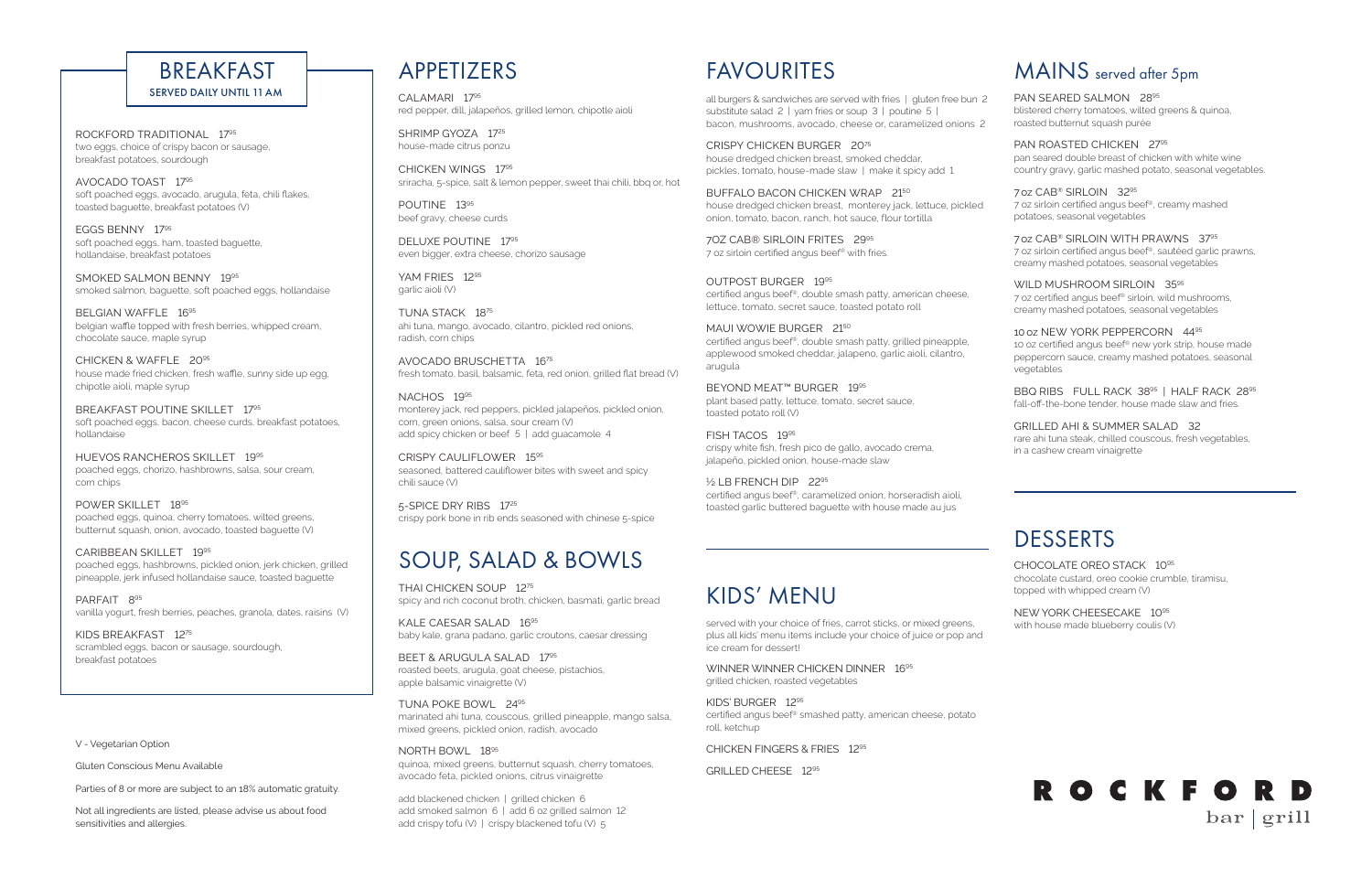# FAVOURITES

all burgers & sandwiches are served with fries | gluten free bun 2 substitute salad 2 | yam fries or soup 3 | poutine 5 | bacon, mushrooms, avocado, cheese or, caramelized onions 2

CRISPY CHICKEN BURGER 2075 house dredged chicken breast, smoked cheddar, pickles, tomato, house-made slaw | make it spicy add 1

BUFFALO BACON CHICKEN WRAP 2150 house dredged chicken breast, monterey jack, lettuce, pickled onion, tomato, bacon, ranch, hot sauce, flour tortilla

MAUI WOWIE BURGER 2150 certified angus beef®, double smash patty, grilled pineapple, applewood smoked cheddar, jalapeno, garlic aioli, cilantro, arugula

7OZ CAB® SIRLOIN FRITES 2995 7 oz sirloin certified angus beef® with fries.

OUTPOST BURGER 1995 certified angus beef®, double smash patty, american cheese, lettuce, tomato, secret sauce, toasted potato roll

SHRIMP GYOZA 1725 house-made citrus ponzu

YAM FRIES 1295 garlic aioli (V)

NACHOS 1995 monterey jack, red peppers, pickled jalapeños, pickled onion, corn, green onions, salsa, sour cream (V) add spicy chicken or beef 5 | add quacamole 4

BEYOND MEAT™ BURGER 1995 plant based patty, lettuce, tomato, secret sauce, toasted potato roll (V)

FISH TACOS 1995 crispy white fish, fresh pico de gallo, avocado crema, jalapeño, pickled onion, house-made slaw

½ LB FRENCH DIP 2295 certified angus beef®, caramelized onion, horseradish aioli, toasted garlic buttered baguette with house made au jus

CALAMARI 1795 red pepper, dill, jalapeños, grilled lemon, chipotle aioli

> WILD MUSHROOM SIRLOIN 3595 7 oz certified angus beef® sirloin, wild mushrooms, creamy mashed potatoes, seasonal vegetables

CHICKEN WINGS 1795 sriracha, 5-spice, salt & lemon pepper, sweet thai chili, bbq or, hot

POUTINE 1395 beef gravy, cheese curds

> BBQ RIBS FULL RACK 3895 | HALF RACK 2895 fall-off-the-bone tender, house made slaw and fries.

DELUXE POUTINE 1795 even bigger, extra cheese, chorizo sausage

TUNA STACK 1875 ahi tuna, mango, avocado, cilantro, pickled red onions, radish, corn chips

AVOCADO BRUSCHETTA 1675 fresh tomato, basil, balsamic, feta, red onion, grilled flat bread (V)

SMOKED SALMON BENNY 1995 smoked salmon, baguette, soft poached eggs, hollandaise

BELGIAN WAFFLE 1695 belgian waffle topped with fresh berries, whipped cream, chocolate sauce, maple syrup

> CRISPY CAULIFLOWER 1595 seasoned, battered cauliflower bites with sweet and spicy chili sauce (V)

BREAKFAST POUTINE SKILLET 1795 soft poached eggs, bacon, cheese curds, breakfast potatoes, hollandaise

> 5-SPICE DRY RIBS 1725 crispy pork bone in rib ends seasoned with chinese 5-spice

# MAINS served after 5pm

### PAN SEARED SALMON 2895

blistered cherry tomatoes, wilted greens & quinoa, roasted butternut squash purée

PARFAIT 895 vanilla yogurt, fresh berries, peaches, granola, dates, raisins (V)

PAN ROASTED CHICKEN 2795 pan seared double breast of chicken with white wine country gravy, garlic mashed potato, seasonal vegetables.

### 7oz CAB® SIRLOIN 3295

WINNER WINNER CHICKEN DINNER 1695 grilled chicken, roasted vegetables

7 oz sirloin certified angus beef®, creamy mashed potatoes, seasonal vegetables

7oz CAB® SIRLOIN WITH PRAWNS 3795 7 oz sirloin certified angus beef®, sautéed garlic prawns, creamy mashed potatoes, seasonal vegetables

add blackened chicken | grilled chicken 6 add smoked salmon 6 | add 6 oz grilled salmon 12 add crispy tofu (V) | crispy blackened tofu (V)  $5$ 

10oz NEW YORK PEPPERCORN 4495 10 oz certified angus beef® new york strip, house made peppercorn sauce, creamy mashed potatoes, seasonal vegetables

#### GRILLED AHI & SUMMER SALAD 32

rare ahi tuna steak, chilled couscous, fresh vegetables, in a cashew cream vinaigrette

# DESSERTS

#### CHOCOLATE OREO STACK 1095

chocolate custard, oreo cookie crumble, tiramisu, topped with whipped cream (V)

### NEW YORK CHEESECAKE 1095

with house made blueberry coulis (V)



ROCKFORD TRADITIONAL 1795 two eggs, choice of crispy bacon or sausage, breakfast potatoes, sourdough

AVOCADO TOAST 1795 soft poached eggs, avocado, arugula, feta, chili flakes, toasted baguette, breakfast potatoes (V)

EGGS BENNY 1795 soft poached eggs, ham, toasted baguette, hollandaise, breakfast potatoes

CHICKEN & WAFFLE 2095 house made fried chicken, fresh waffle, sunny side up egg, chipotle aioli, maple syrup

HUEVOS RANCHEROS SKILLET 1995 poached eggs, chorizo, hashbrowns, salsa, sour cream, corn chips

POWER SKILLET 1895 poached eggs, quinoa, cherry tomatoes, wilted greens, butternut squash, onion, avocado, toasted baguette (V)

CARIBBEAN SKILLET 1995 poached eggs, hashbrowns, pickled onion, jerk chicken, grilled pineapple, jerk infused hollandaise sauce, toasted baguette

KIDS BREAKFAST 1275 scrambled eggs, bacon or sausage, sourdough, breakfast potatoes

### KIDS' MENU

served with your choice of fries, carrot sticks, or mixed greens, plus all kids' menu items include your choice of juice or pop and ice cream for dessert!

KIDS' BURGER 1295 certified angus beef® smashed patty, american cheese, potato roll, ketchup

CHICKEN FINGERS & FRIES 1295

GRILLED CHEESE 1295

## SOUP, SALAD & BOWLS

THAI CHICKEN SOUP 1275 spicy and rich coconut broth, chicken, basmati, garlic bread

KALE CAESAR SALAD 1695 baby kale, grana padano, garlic croutons, caesar dressing

BEET & ARUGULA SALAD 1795 roasted beets, arugula, goat cheese, pistachios, apple balsamic vinaigrette (V)

### BREAKFAST SERVED DAILY UNTIL 11AM

TUNA POKE BOWL 2495 marinated ahi tuna, couscous, grilled pineapple, mango salsa, mixed greens, pickled onion, radish, avocado

### NORTH BOWL 1895

quinoa, mixed greens, butternut squash, cherry tomatoes, avocado feta, pickled onions, citrus vinaigrette

### V - Vegetarian Option

Gluten Conscious Menu Available

Parties of 8 or more are subject to an 18% automatic gratuity.

Not all ingredients are listed, please advise us about food sensitivities and allergies.

### **APPETIZERS**